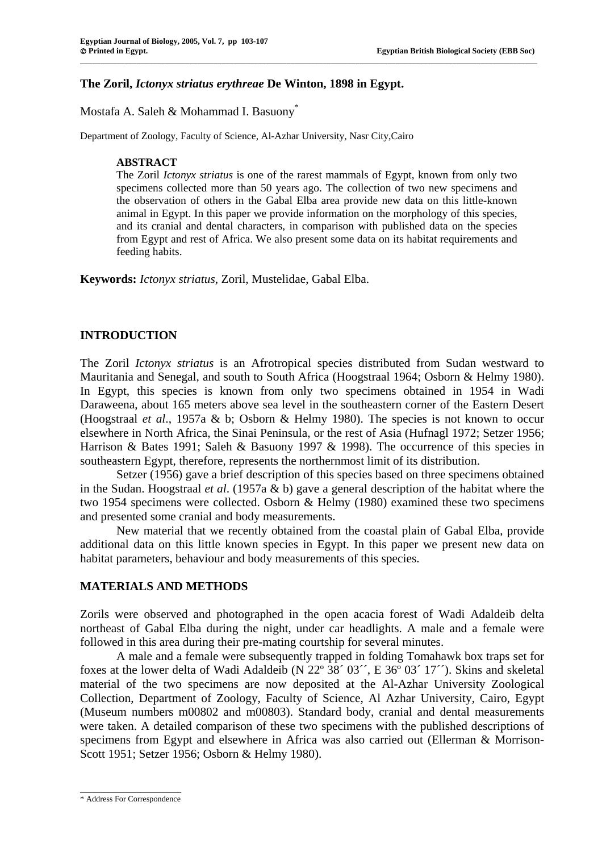# **The Zoril,** *Ictonyx striatus erythreae* **De Winton, 1898 in Egypt.**

Mostafa A. Saleh & Mohammad I. Basuony\*

Department of Zoology, Faculty of Science, Al-Azhar University, Nasr City,Cairo

## **ABSTRACT**

The Zoril *Ictonyx striatus* is one of the rarest mammals of Egypt, known from only two specimens collected more than 50 years ago. The collection of two new specimens and the observation of others in the Gabal Elba area provide new data on this little-known animal in Egypt. In this paper we provide information on the morphology of this species, and its cranial and dental characters, in comparison with published data on the species from Egypt and rest of Africa. We also present some data on its habitat requirements and feeding habits.

**\_\_\_\_\_\_\_\_\_\_\_\_\_\_\_\_\_\_\_\_\_\_\_\_\_\_\_\_\_\_\_\_\_\_\_\_\_\_\_\_\_\_\_\_\_\_\_\_\_\_\_\_\_\_\_\_\_\_\_\_\_\_\_\_\_\_\_\_\_\_\_\_\_\_\_\_\_\_\_\_\_\_\_\_\_\_\_\_\_\_\_\_\_\_\_\_\_\_\_\_\_\_\_\_\_\_\_\_\_\_\_\_\_**

**Keywords:** *Ictonyx striatus*, Zoril, Mustelidae, Gabal Elba.

# **INTRODUCTION**

The Zoril *Ictonyx striatus* is an Afrotropical species distributed from Sudan westward to Mauritania and Senegal, and south to South Africa (Hoogstraal 1964; Osborn & Helmy 1980). In Egypt, this species is known from only two specimens obtained in 1954 in Wadi Daraweena, about 165 meters above sea level in the southeastern corner of the Eastern Desert (Hoogstraal *et al*., 1957a & b; Osborn & Helmy 1980). The species is not known to occur elsewhere in North Africa, the Sinai Peninsula, or the rest of Asia (Hufnagl 1972; Setzer 1956; Harrison & Bates 1991; Saleh & Basuony 1997 & 1998). The occurrence of this species in southeastern Egypt, therefore, represents the northernmost limit of its distribution.

Setzer (1956) gave a brief description of this species based on three specimens obtained in the Sudan. Hoogstraal *et al*. (1957a & b) gave a general description of the habitat where the two 1954 specimens were collected. Osborn & Helmy (1980) examined these two specimens and presented some cranial and body measurements.

New material that we recently obtained from the coastal plain of Gabal Elba, provide additional data on this little known species in Egypt. In this paper we present new data on habitat parameters, behaviour and body measurements of this species.

# **MATERIALS AND METHODS**

Zorils were observed and photographed in the open acacia forest of Wadi Adaldeib delta northeast of Gabal Elba during the night, under car headlights. A male and a female were followed in this area during their pre-mating courtship for several minutes.

A male and a female were subsequently trapped in folding Tomahawk box traps set for foxes at the lower delta of Wadi Adaldeib (N 22° 38′ 03′, E 36° 03′ 17′′). Skins and skeletal material of the two specimens are now deposited at the Al-Azhar University Zoological Collection, Department of Zoology, Faculty of Science, Al Azhar University, Cairo, Egypt (Museum numbers m00802 and m00803). Standard body, cranial and dental measurements were taken. A detailed comparison of these two specimens with the published descriptions of specimens from Egypt and elsewhere in Africa was also carried out (Ellerman & Morrison-Scott 1951; Setzer 1956; Osborn & Helmy 1980).

 $\_$ \* Address For Correspondence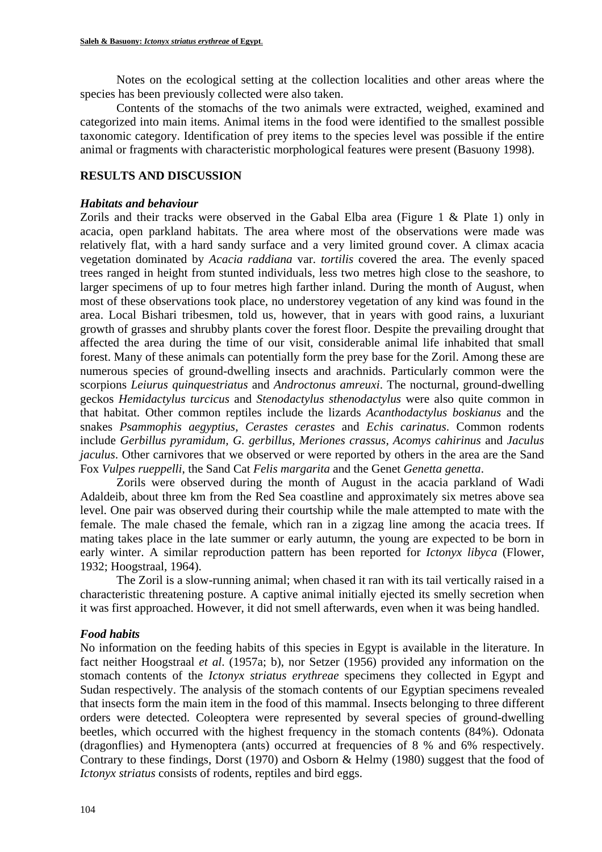Notes on the ecological setting at the collection localities and other areas where the species has been previously collected were also taken.

Contents of the stomachs of the two animals were extracted, weighed, examined and categorized into main items. Animal items in the food were identified to the smallest possible taxonomic category. Identification of prey items to the species level was possible if the entire animal or fragments with characteristic morphological features were present (Basuony 1998).

### **RESULTS AND DISCUSSION**

### *Habitats and behaviour*

Zorils and their tracks were observed in the Gabal Elba area (Figure 1 & Plate 1) only in acacia, open parkland habitats. The area where most of the observations were made was relatively flat, with a hard sandy surface and a very limited ground cover. A climax acacia vegetation dominated by *Acacia raddiana* var. *tortilis* covered the area. The evenly spaced trees ranged in height from stunted individuals, less two metres high close to the seashore, to larger specimens of up to four metres high farther inland. During the month of August, when most of these observations took place, no understorey vegetation of any kind was found in the area. Local Bishari tribesmen, told us, however, that in years with good rains, a luxuriant growth of grasses and shrubby plants cover the forest floor. Despite the prevailing drought that affected the area during the time of our visit, considerable animal life inhabited that small forest. Many of these animals can potentially form the prey base for the Zoril. Among these are numerous species of ground-dwelling insects and arachnids. Particularly common were the scorpions *Leiurus quinquestriatus* and *Androctonus amreuxi*. The nocturnal, ground-dwelling geckos *Hemidactylus turcicus* and *Stenodactylus sthenodactylus* were also quite common in that habitat. Other common reptiles include the lizards *Acanthodactylus boskianus* and the snakes *Psammophis aegyptius*, *Cerastes cerastes* and *Echis carinatus*. Common rodents include *Gerbillus pyramidum, G. gerbillus, Meriones crassus, Acomys cahirinus* and *Jaculus jaculus*. Other carnivores that we observed or were reported by others in the area are the Sand Fox *Vulpes rueppelli*, the Sand Cat *Felis margarita* and the Genet *Genetta genetta*.

Zorils were observed during the month of August in the acacia parkland of Wadi Adaldeib, about three km from the Red Sea coastline and approximately six metres above sea level. One pair was observed during their courtship while the male attempted to mate with the female. The male chased the female, which ran in a zigzag line among the acacia trees. If mating takes place in the late summer or early autumn, the young are expected to be born in early winter. A similar reproduction pattern has been reported for *Ictonyx libyca* (Flower, 1932; Hoogstraal, 1964).

The Zoril is a slow-running animal; when chased it ran with its tail vertically raised in a characteristic threatening posture. A captive animal initially ejected its smelly secretion when it was first approached. However, it did not smell afterwards, even when it was being handled.

### *Food habits*

No information on the feeding habits of this species in Egypt is available in the literature. In fact neither Hoogstraal *et al*. (1957a; b), nor Setzer (1956) provided any information on the stomach contents of the *Ictonyx striatus erythreae* specimens they collected in Egypt and Sudan respectively. The analysis of the stomach contents of our Egyptian specimens revealed that insects form the main item in the food of this mammal. Insects belonging to three different orders were detected. Coleoptera were represented by several species of ground-dwelling beetles, which occurred with the highest frequency in the stomach contents (84%). Odonata (dragonflies) and Hymenoptera (ants) occurred at frequencies of 8 % and 6% respectively. Contrary to these findings, Dorst (1970) and Osborn & Helmy (1980) suggest that the food of *Ictonyx striatus* consists of rodents, reptiles and bird eggs.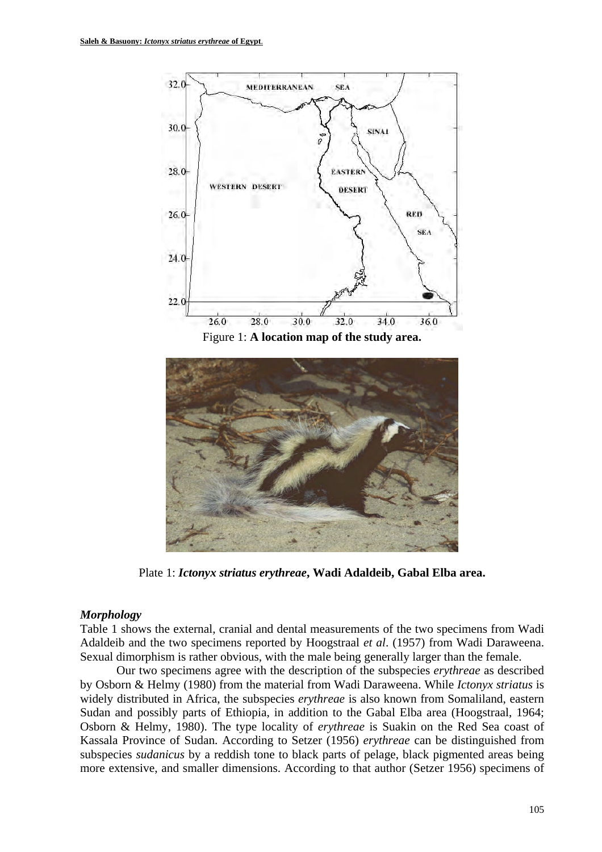



Plate 1: *Ictonyx striatus erythreae***, Wadi Adaldeib, Gabal Elba area.**

#### *Morphology*

Table 1 shows the external, cranial and dental measurements of the two specimens from Wadi Adaldeib and the two specimens reported by Hoogstraal *et al*. (1957) from Wadi Daraweena. Sexual dimorphism is rather obvious, with the male being generally larger than the female.

Our two specimens agree with the description of the subspecies *erythreae* as described by Osborn & Helmy (1980) from the material from Wadi Daraweena. While *Ictonyx striatus* is widely distributed in Africa, the subspecies *erythreae* is also known from Somaliland, eastern Sudan and possibly parts of Ethiopia, in addition to the Gabal Elba area (Hoogstraal, 1964; Osborn & Helmy, 1980). The type locality of *erythreae* is Suakin on the Red Sea coast of Kassala Province of Sudan. According to Setzer (1956) *erythreae* can be distinguished from subspecies *sudanicus* by a reddish tone to black parts of pelage, black pigmented areas being more extensive, and smaller dimensions. According to that author (Setzer 1956) specimens of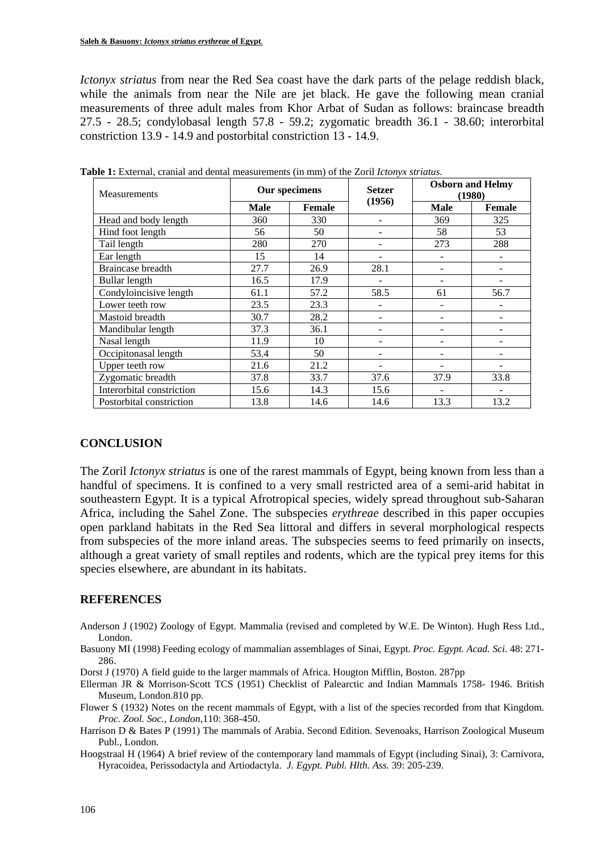*Ictonyx striatus* from near the Red Sea coast have the dark parts of the pelage reddish black, while the animals from near the Nile are jet black. He gave the following mean cranial measurements of three adult males from Khor Arbat of Sudan as follows: braincase breadth 27.5 - 28.5; condylobasal length 57.8 - 59.2; zygomatic breadth 36.1 - 38.60; interorbital constriction 13.9 - 14.9 and postorbital constriction 13 - 14.9.

| Measurements              | Our specimens |        | <b>Setzer</b> | <b>Osborn and Helmy</b><br>(1980) |               |
|---------------------------|---------------|--------|---------------|-----------------------------------|---------------|
|                           | <b>Male</b>   | Female | (1956)        | <b>Male</b>                       | <b>Female</b> |
| Head and body length      | 360           | 330    |               | 369                               | 325           |
| Hind foot length          | 56            | 50     |               | 58                                | 53            |
| Tail length               | 280           | 270    |               | 273                               | 288           |
| Ear length                | 15            | 14     |               |                                   |               |
| Braincase breadth         | 27.7          | 26.9   | 28.1          |                                   |               |
| Bullar length             | 16.5          | 17.9   |               |                                   |               |
| Condyloincisive length    | 61.1          | 57.2   | 58.5          | 61                                | 56.7          |
| Lower teeth row           | 23.5          | 23.3   |               |                                   |               |
| Mastoid breadth           | 30.7          | 28.2   |               |                                   |               |
| Mandibular length         | 37.3          | 36.1   |               |                                   |               |
| Nasal length              | 11.9          | 10     |               |                                   |               |
| Occipitonasal length      | 53.4          | 50     |               |                                   |               |
| Upper teeth row           | 21.6          | 21.2   |               |                                   |               |
| Zygomatic breadth         | 37.8          | 33.7   | 37.6          | 37.9                              | 33.8          |
| Interorbital constriction | 15.6          | 14.3   | 15.6          |                                   |               |
| Postorbital constriction  | 13.8          | 14.6   | 14.6          | 13.3                              | 13.2          |

**Table 1:** External, cranial and dental measurements (in mm) of the Zoril *Ictonyx striatus*.

### **CONCLUSION**

The Zoril *Ictonyx striatus* is one of the rarest mammals of Egypt, being known from less than a handful of specimens. It is confined to a very small restricted area of a semi-arid habitat in southeastern Egypt. It is a typical Afrotropical species, widely spread throughout sub-Saharan Africa, including the Sahel Zone. The subspecies *erythreae* described in this paper occupies open parkland habitats in the Red Sea littoral and differs in several morphological respects from subspecies of the more inland areas. The subspecies seems to feed primarily on insects, although a great variety of small reptiles and rodents, which are the typical prey items for this species elsewhere, are abundant in its habitats.

# **REFERENCES**

- Anderson J (1902) Zoology of Egypt. Mammalia (revised and completed by W.E. De Winton). Hugh Ress Ltd., London.
- Basuony MI (1998) Feeding ecology of mammalian assemblages of Sinai, Egypt. *Proc. Egypt. Acad. Sci*. 48: 271- 286.
- Dorst J (1970) A field guide to the larger mammals of Africa. Hougton Mifflin, Boston. 287pp
- Ellerman JR & Morrison-Scott TCS (1951) Checklist of Palearctic and Indian Mammals 1758- 1946. British Museum, London.810 pp.
- Flower S (1932) Notes on the recent mammals of Egypt, with a list of the species recorded from that Kingdom. *Proc. Zool. Soc., London*,110: 368-450.
- Harrison D & Bates P (1991) The mammals of Arabia. Second Edition. Sevenoaks, Harrison Zoological Museum Publ., London.
- Hoogstraal H (1964) A brief review of the contemporary land mammals of Egypt (including Sinai), 3: Carnivora, Hyracoidea, Perissodactyla and Artiodactyla. *J. Egypt. Publ. Hlth. Ass.* 39: 205-239.